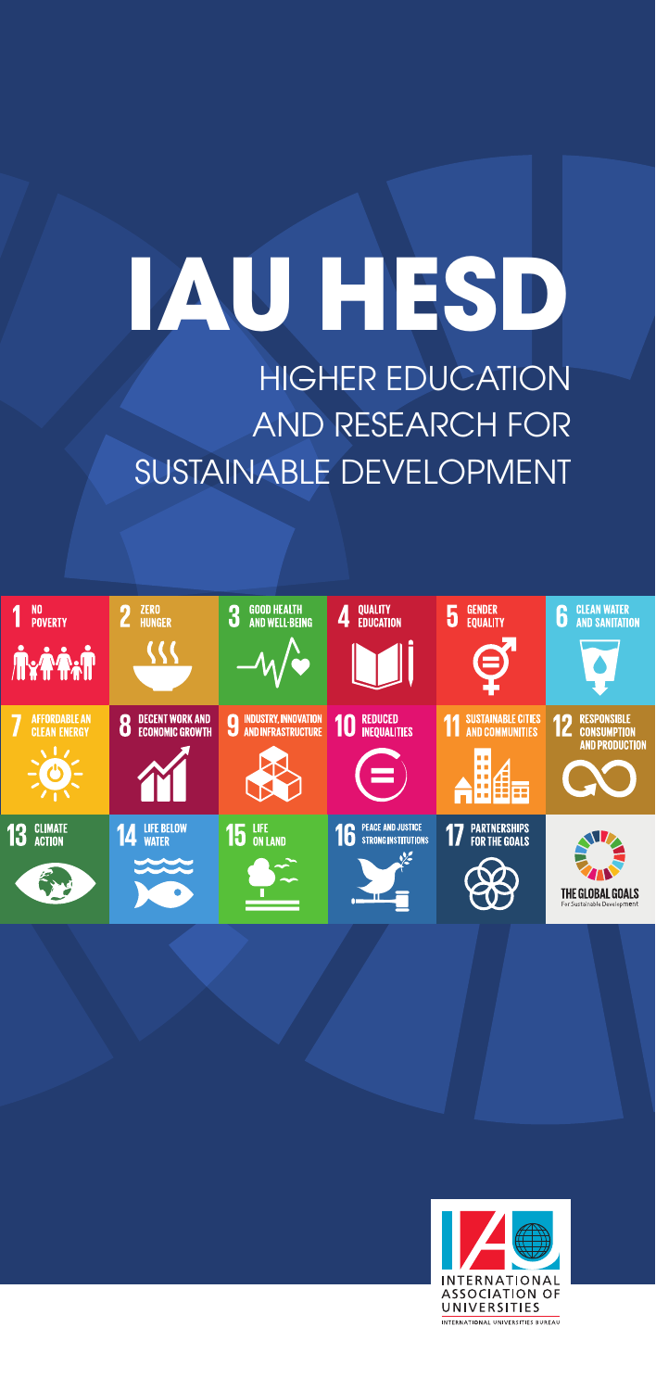# **IAU HESD** HIGHER EDUCATION

AND RESEARCH FOR SUSTAINABLE DEVELOPMENT



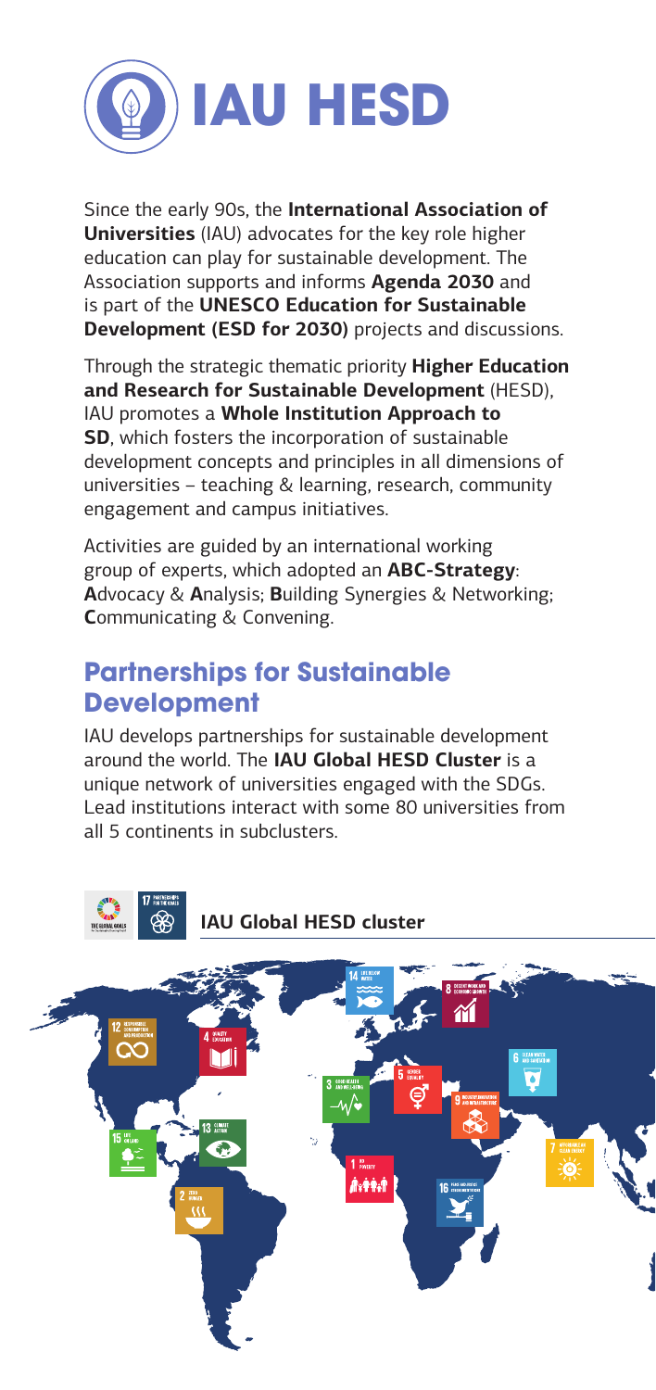

Since the early 90s, the **International Association of Universities** (IAU) advocates for the key role higher education can play for sustainable development. The Association supports and informs **Agenda 2030** and is part of the **UNESCO Education for Sustainable Development (ESD for 2030)** projects and discussions.

Through the strategic thematic priority **Higher Education and Research for Sustainable Development** (HESD), IAU promotes a **Whole Institution Approach to SD**, which fosters the incorporation of sustainable development concepts and principles in all dimensions of universities – teaching & learning, research, community engagement and campus initiatives.

Activities are guided by an international working group of experts, which adopted an **ABC-Strategy**: **A**dvocacy & **A**nalysis; **B**uilding Synergies & Networking; **C**ommunicating & Convening.

### **Partnerships for Sustainable Development**

IAU develops partnerships for sustainable development around the world. The **IAU Global HESD Cluster** is a unique network of universities engaged with the SDGs. Lead institutions interact with some 80 universities from all 5 continents in subclusters.



**IAU Global HESD cluster**

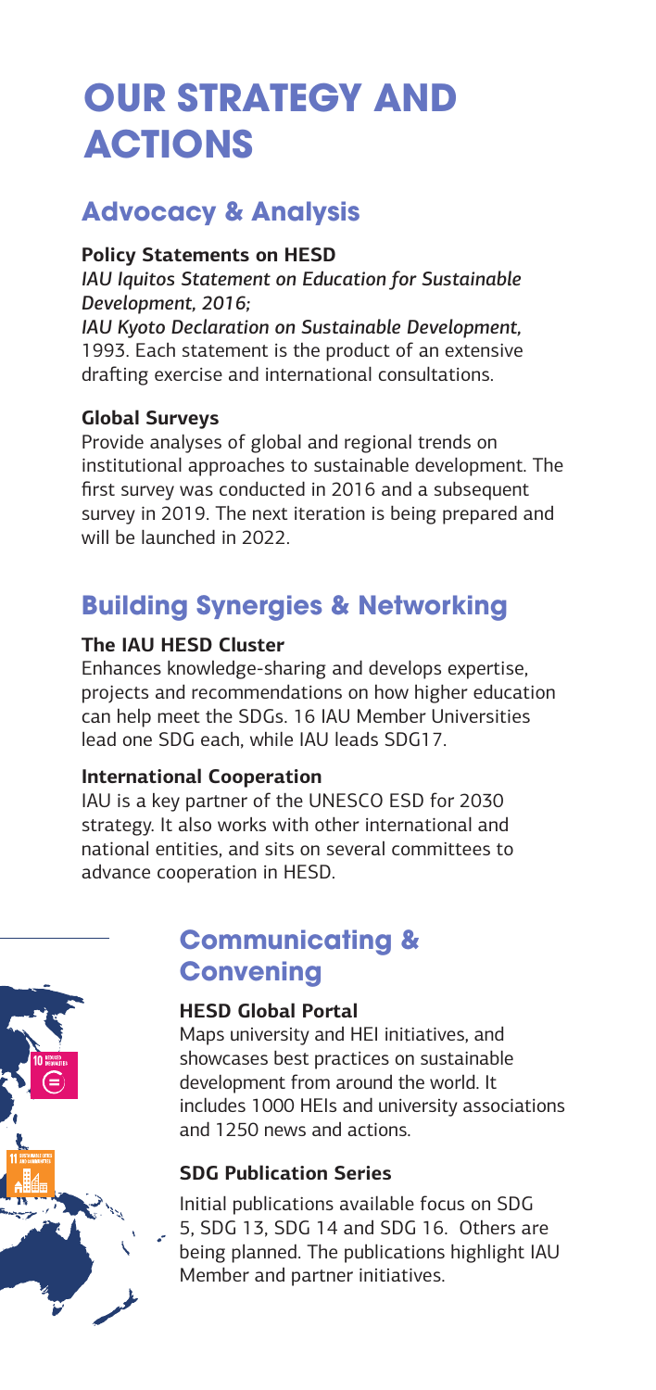# **OUR STRATEGY AND ACTIONS**

## **Advocacy & Analysis**

#### **Policy Statements on HESD**

*IAU Iquitos Statement on Education for Sustainable Development, 2016;* 

*IAU Kyoto Declaration on Sustainable Development,* 1993. Each statement is the product of an extensive drafting exercise and international consultations.

#### **Global Surveys**

Provide analyses of global and regional trends on institutional approaches to sustainable development. The first survey was conducted in 2016 and a subsequent survey in 2019. The next iteration is being prepared and will be launched in 2022.

# **Building Synergies & Networking**

#### **The IAU HESD Cluster**

Enhances knowledge-sharing and develops expertise, projects and recommendations on how higher education can help meet the SDGs. 16 IAU Member Universities lead one SDG each, while IAU leads SDG17.

#### **International Cooperation**

IAU is a key partner of the UNESCO ESD for 2030 strategy. It also works with other international and national entities, and sits on several committees to advance cooperation in HESD.

### **Communicating & Convening**

#### **HESD Global Portal**

Maps university and HEI initiatives, and showcases best practices on sustainable development from around the world. It includes 1000 HEIs and university associations and 1250 news and actions.

#### **SDG Publication Series**

Initial publications available focus on SDG 5, SDG 13, SDG 14 and SDG 16. Others are being planned. The publications highlight IAU Member and partner initiatives.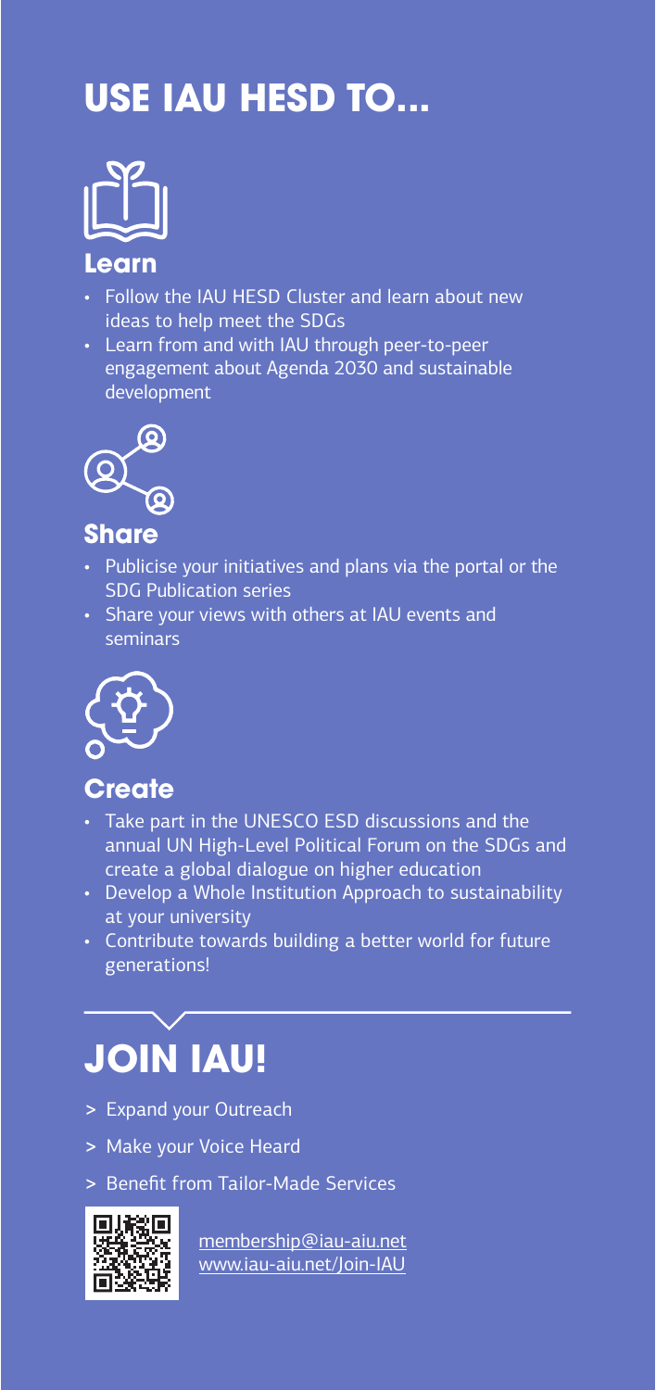# **USE IAU HESD TO...**



#### **Learn**

- Follow the IAU HESD Cluster and learn about new ideas to help meet the SDGs
- Learn from and with IAU through peer-to-peer engagement about Agenda 2030 and sustainable development



### **Share**

- Publicise your initiatives and plans via the portal or the SDG Publication series
- Share your views with others at IAU events and seminars



### **Create**

- Take part in the UNESCO ESD discussions and the annual UN High-Level Political Forum on the SDGs and create a global dialogue on higher education
- Develop a Whole Institution Approach to sustainability at your university
- Contribute towards building a better world for future generations!

# **JOIN IAU!**

- **>** Expand your Outreach
- **>** Make your Voice Heard
- **>** Benefit from Tailor-Made Services



membership@iau-aiu.net www.iau-aiu.net/Join-IAU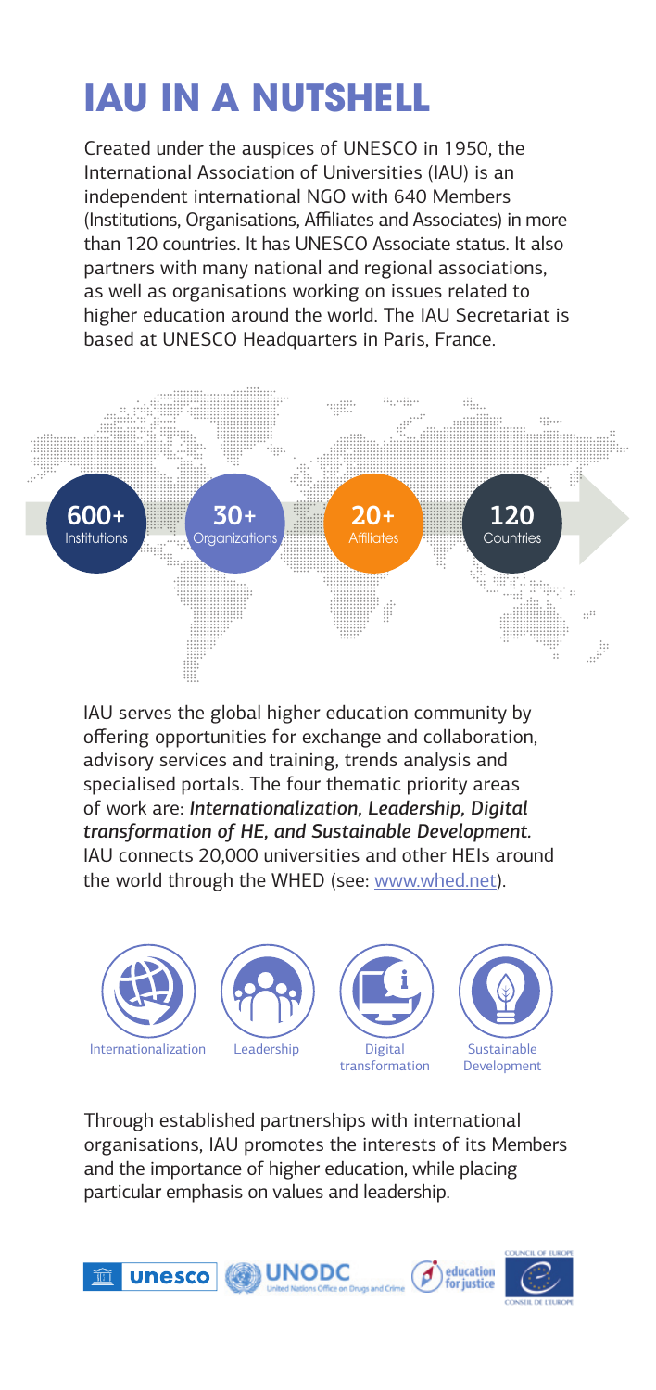# **IAU IN A NUTSHELL**

Created under the auspices of UNESCO in 1950, the International Association of Universities (IAU) is an independent international NGO with 640 Members (Institutions, Organisations, Affiliates and Associates) in more than 120 countries. It has UNESCO Associate status. It also partners with many national and regional associations, as well as organisations working on issues related to higher education around the world. The IAU Secretariat is based at UNESCO Headquarters in Paris, France.



IAU serves the global higher education community by offering opportunities for exchange and collaboration, advisory services and training, trends analysis and specialised portals. The four thematic priority areas of work are: *Internationalization, Leadership, Digital transformation of HE, and Sustainable Development.* IAU connects 20,000 universities and other HEIs around the world through the WHED (see: www.whed.net).



Through established partnerships with international organisations, IAU promotes the interests of its Members and the importance of higher education, while placing particular emphasis on values and leadership.